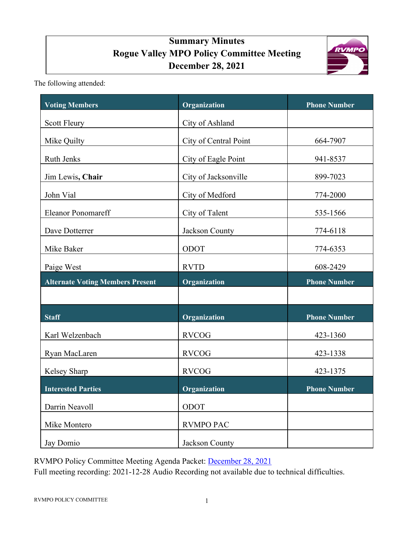# **Summary Minutes Rogue Valley MPO Policy Committee Meeting December 28, 2021**



The following attended:

| <b>Voting Members</b>                   | Organization          | <b>Phone Number</b> |
|-----------------------------------------|-----------------------|---------------------|
| <b>Scott Fleury</b>                     | City of Ashland       |                     |
| Mike Quilty                             | City of Central Point | 664-7907            |
| <b>Ruth Jenks</b>                       | City of Eagle Point   | 941-8537            |
| Jim Lewis, Chair                        | City of Jacksonville  | 899-7023            |
| John Vial                               | City of Medford       | 774-2000            |
| <b>Eleanor Ponomareff</b>               | City of Talent        | 535-1566            |
| Dave Dotterrer                          | Jackson County        | 774-6118            |
| Mike Baker                              | ODOT                  | 774-6353            |
| Paige West                              | <b>RVTD</b>           | 608-2429            |
| <b>Alternate Voting Members Present</b> | Organization          | <b>Phone Number</b> |
|                                         |                       |                     |
| <b>Staff</b>                            | Organization          | <b>Phone Number</b> |
| Karl Welzenbach                         | <b>RVCOG</b>          | 423-1360            |
| Ryan MacLaren                           | <b>RVCOG</b>          | 423-1338            |
| Kelsey Sharp                            | <b>RVCOG</b>          | 423-1375            |
| <b>Interested Parties</b>               | Organization          | <b>Phone Number</b> |
| Darrin Neavoll                          | ODOT                  |                     |
| Mike Montero                            | <b>RVMPO PAC</b>      |                     |
| Jay Domio                               | Jackson County        |                     |

RVMPO Policy Committee Meeting Agenda Packet: [December](https://rvmpo.org/wp-content/uploads/2019/09/RVMPO-PolComm-Agenda-Packet-11-30-2021.pdf) 28, 2021

Full meeting recording: 2021-12-28 Audio Recording not available due to technical difficulties.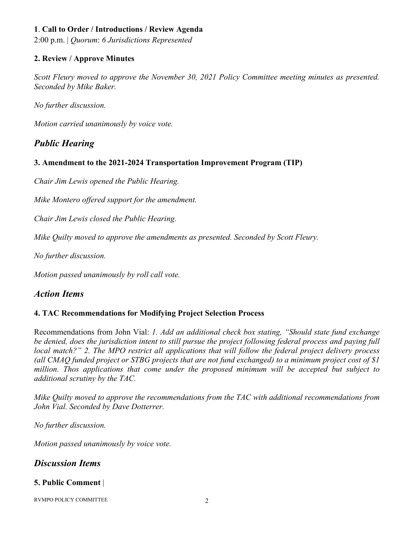## **1**. **Call to Order / Introductions / Review Agenda**

2:00 p.m. | *Quorum*: *6 Jurisdictions Represented*

### **2. Review / Approve Minutes**

*Scott Fleury moved to approve the November 30, 2021 Policy Committee meeting minutes as presented. Seconded by Mike Baker.* 

*No further discussion.* 

*Motion carried unanimously by voice vote.*

# *Public Hearing*

### **3. Amendment to the 2021-2024 Transportation Improvement Program (TIP)**

*Chair Jim Lewis opened the Public Hearing.*

*Mike Montero offered support for the amendment.*

*Chair Jim Lewis closed the Public Hearing.*

*Mike Quilty moved to approve the amendments as presented. Seconded by Scott Fleury.* 

*No further discussion.*

*Motion passed unanimously by roll call vote.*

## *Action Items*

### **4. TAC Recommendations for Modifying Project Selection Process**

Recommendations from John Vial: *1. Add an additional check box stating, "Should state fund exchange be denied, does the jurisdiction intent to still pursue the project following federal process and paying full local match?" 2. The MPO restrict all applications that will follow the federal project delivery process (all CMAQ funded project or STBG projects that are not fund exchanged) to a minimum project cost of \$1 million. Thos applications that come under the proposed minimum will be accepted but subject to additional scrutiny by the TAC.*

*Mike Quilty moved to approve the recommendations from the TAC with additional recommendations from John Vial. Seconded by Dave Dotterrer.*

*No further discussion.*

*Motion passed unanimously by voice vote.*

# *Discussion Items*

### **5. Public Comment** |

RVMPO POLICY COMMITTEE 2